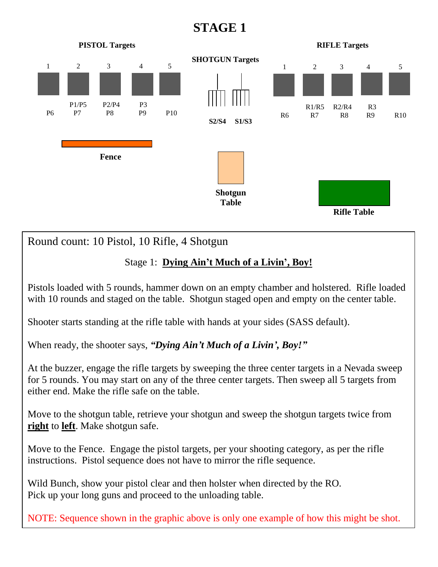## **STAGE 1**



Round count: 10 Pistol, 10 Rifle, 4 Shotgun

## Stage 1: **Dying Ain't Much of a Livin', Boy!**

Pistols loaded with 5 rounds, hammer down on an empty chamber and holstered. Rifle loaded with 10 rounds and staged on the table. Shotgun staged open and empty on the center table.

Shooter starts standing at the rifle table with hands at your sides (SASS default).

When ready, the shooter says, *"Dying Ain't Much of a Livin', Boy!"*

At the buzzer, engage the rifle targets by sweeping the three center targets in a Nevada sweep for 5 rounds. You may start on any of the three center targets. Then sweep all 5 targets from either end. Make the rifle safe on the table.

Move to the shotgun table, retrieve your shotgun and sweep the shotgun targets twice from **right** to **left**. Make shotgun safe.

Move to the Fence. Engage the pistol targets, per your shooting category, as per the rifle instructions. Pistol sequence does not have to mirror the rifle sequence.

Wild Bunch, show your pistol clear and then holster when directed by the RO. Pick up your long guns and proceed to the unloading table.

NOTE: Sequence shown in the graphic above is only one example of how this might be shot.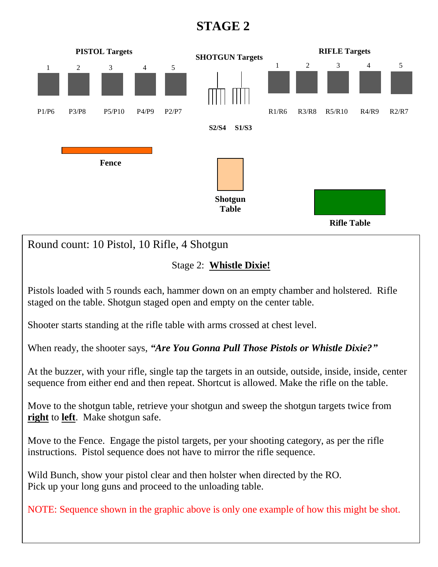## **STAGE 2**



Move to the shotgun table, retrieve your shotgun and sweep the shotgun targets twice from **right** to **left**. Make shotgun safe.

Move to the Fence. Engage the pistol targets, per your shooting category, as per the rifle instructions. Pistol sequence does not have to mirror the rifle sequence.

Wild Bunch, show your pistol clear and then holster when directed by the RO. Pick up your long guns and proceed to the unloading table.

NOTE: Sequence shown in the graphic above is only one example of how this might be shot.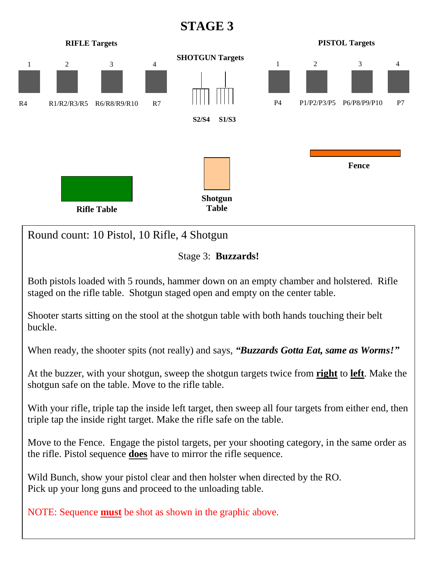